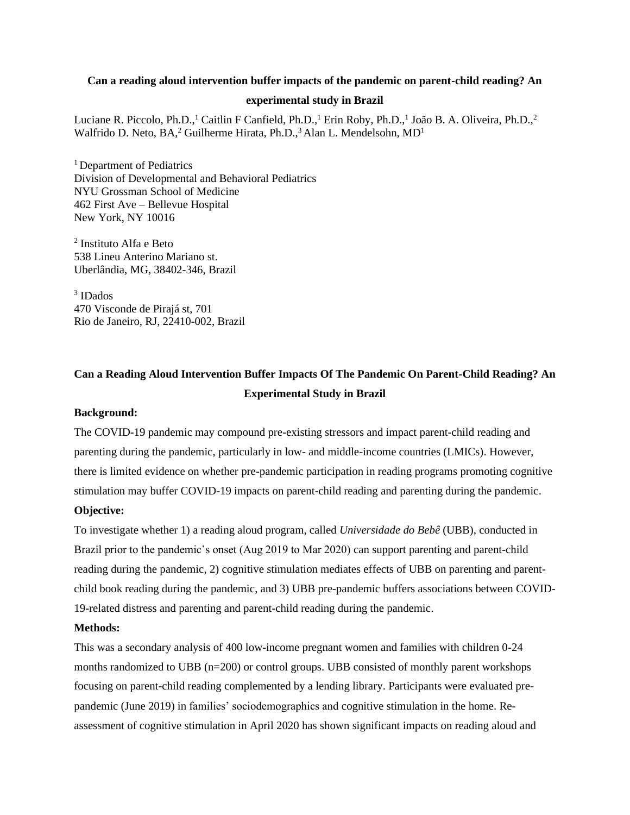### **Can a reading aloud intervention buffer impacts of the pandemic on parent-child reading? An**

#### **experimental study in Brazil**

Luciane R. Piccolo, Ph.D.,<sup>1</sup> Caitlin F Canfield, Ph.D.,<sup>1</sup> Erin Roby, Ph.D.,<sup>1</sup> João B. A. Oliveira, Ph.D.,<sup>2</sup> Walfrido D. Neto, BA,<sup>2</sup> Guilherme Hirata, Ph.D.,<sup>3</sup> Alan L. Mendelsohn, MD<sup>1</sup>

<sup>1</sup> Department of Pediatrics Division of Developmental and Behavioral Pediatrics NYU Grossman School of Medicine 462 First Ave – Bellevue Hospital New York, NY 10016

2 Instituto Alfa e Beto 538 Lineu Anterino Mariano st. Uberlândia, MG, 38402-346, Brazil

3 IDados 470 Visconde de Pirajá st, 701 Rio de Janeiro, RJ, 22410-002, Brazil

# **Can a Reading Aloud Intervention Buffer Impacts Of The Pandemic On Parent-Child Reading? An Experimental Study in Brazil**

## **Background:**

The COVID-19 pandemic may compound pre-existing stressors and impact parent-child reading and parenting during the pandemic, particularly in low- and middle-income countries (LMICs). However, there is limited evidence on whether pre-pandemic participation in reading programs promoting cognitive stimulation may buffer COVID-19 impacts on parent-child reading and parenting during the pandemic.

## **Objective:**

To investigate whether 1) a reading aloud program, called *Universidade do Bebê* (UBB), conducted in Brazil prior to the pandemic's onset (Aug 2019 to Mar 2020) can support parenting and parent-child reading during the pandemic, 2) cognitive stimulation mediates effects of UBB on parenting and parentchild book reading during the pandemic, and 3) UBB pre-pandemic buffers associations between COVID-19-related distress and parenting and parent-child reading during the pandemic.

#### **Methods:**

This was a secondary analysis of 400 low-income pregnant women and families with children 0-24 months randomized to UBB (n=200) or control groups. UBB consisted of monthly parent workshops focusing on parent-child reading complemented by a lending library. Participants were evaluated prepandemic (June 2019) in families' sociodemographics and cognitive stimulation in the home. Reassessment of cognitive stimulation in April 2020 has shown significant impacts on reading aloud and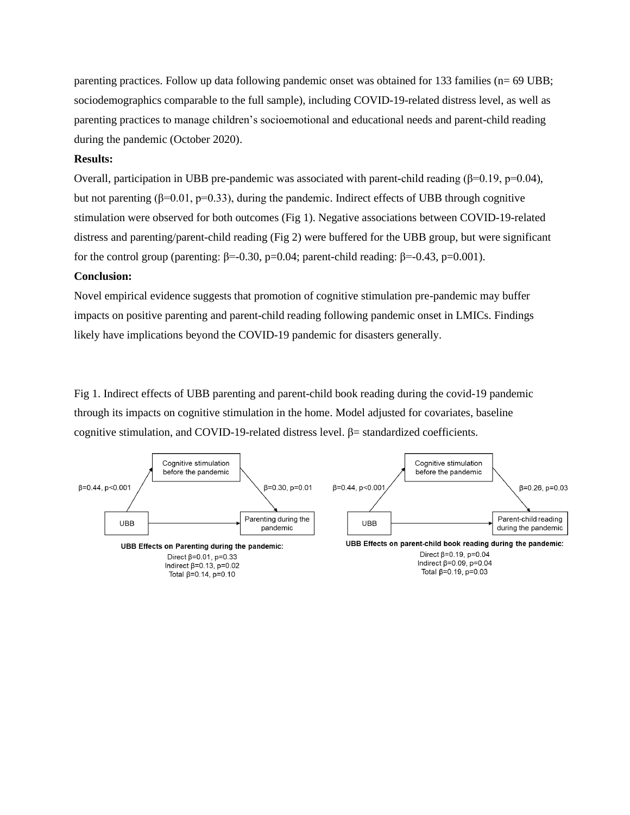parenting practices. Follow up data following pandemic onset was obtained for 133 families (n= 69 UBB; sociodemographics comparable to the full sample), including COVID-19-related distress level, as well as parenting practices to manage children's socioemotional and educational needs and parent-child reading during the pandemic (October 2020).

## **Results:**

Overall, participation in UBB pre-pandemic was associated with parent-child reading ( $\beta$ =0.19, p=0.04), but not parenting (β=0.01, p=0.33), during the pandemic. Indirect effects of UBB through cognitive stimulation were observed for both outcomes (Fig 1). Negative associations between COVID-19-related distress and parenting/parent-child reading (Fig 2) were buffered for the UBB group, but were significant for the control group (parenting: β=-0.30, p=0.04; parent-child reading: β=-0.43, p=0.001).

#### **Conclusion:**

Novel empirical evidence suggests that promotion of cognitive stimulation pre-pandemic may buffer impacts on positive parenting and parent-child reading following pandemic onset in LMICs. Findings likely have implications beyond the COVID-19 pandemic for disasters generally.

Fig 1. Indirect effects of UBB parenting and parent-child book reading during the covid-19 pandemic through its impacts on cognitive stimulation in the home. Model adjusted for covariates, baseline cognitive stimulation, and COVID-19-related distress level.  $β =$  standardized coefficients.